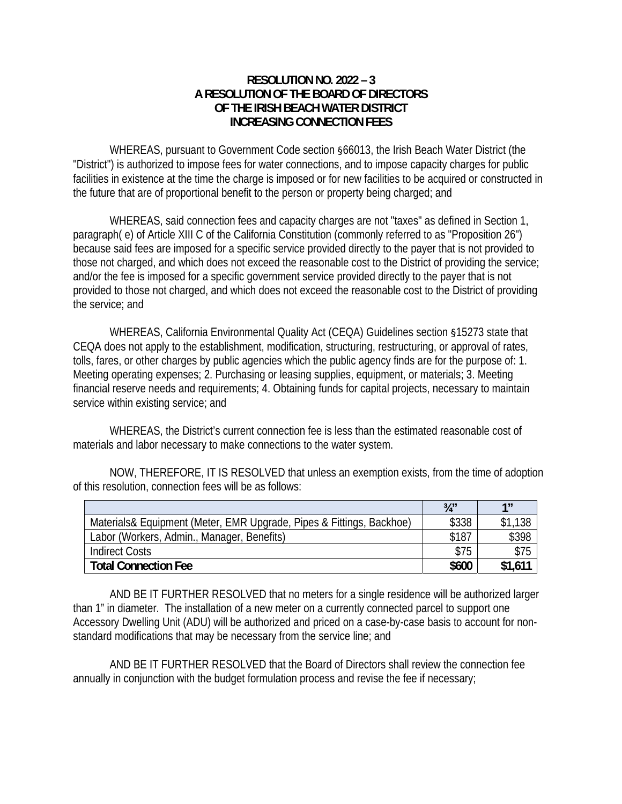## **RESOLUTION NO. 2022 – 3 A RESOLUTION OF THE BOARD OF DIRECTORS OF THE IRISH BEACH WATER DISTRICT INCREASING CONNECTION FEES**

 WHEREAS, pursuant to Government Code section §66013, the Irish Beach Water District (the "District") is authorized to impose fees for water connections, and to impose capacity charges for public facilities in existence at the time the charge is imposed or for new facilities to be acquired or constructed in the future that are of proportional benefit to the person or property being charged; and

WHEREAS, said connection fees and capacity charges are not "taxes" as defined in Section 1, paragraph( e) of Article XIII C of the California Constitution (commonly referred to as "Proposition 26") because said fees are imposed for a specific service provided directly to the payer that is not provided to those not charged, and which does not exceed the reasonable cost to the District of providing the service; and/or the fee is imposed for a specific government service provided directly to the payer that is not provided to those not charged, and which does not exceed the reasonable cost to the District of providing the service; and

WHEREAS, California Environmental Quality Act (CEQA) Guidelines section §15273 state that CEQA does not apply to the establishment, modification, structuring, restructuring, or approval of rates, tolls, fares, or other charges by public agencies which the public agency finds are for the purpose of: 1. Meeting operating expenses; 2. Purchasing or leasing supplies, equipment, or materials; 3. Meeting financial reserve needs and requirements; 4. Obtaining funds for capital projects, necessary to maintain service within existing service; and

WHEREAS, the District's current connection fee is less than the estimated reasonable cost of materials and labor necessary to make connections to the water system.

 NOW, THEREFORE, IT IS RESOLVED that unless an exemption exists, from the time of adoption of this resolution, connection fees will be as follows:

|                                                                      | $3/4$ " | 1 <sub>II</sub> |
|----------------------------------------------------------------------|---------|-----------------|
| Materials& Equipment (Meter, EMR Upgrade, Pipes & Fittings, Backhoe) | \$338   | \$1,138         |
| Labor (Workers, Admin., Manager, Benefits)                           | \$187   | \$398           |
| <b>Indirect Costs</b>                                                | \$75    | \$75            |
| <b>Total Connection Fee</b>                                          | \$600   | \$1,611         |

 AND BE IT FURTHER RESOLVED that no meters for a single residence will be authorized larger than 1" in diameter. The installation of a new meter on a currently connected parcel to support one Accessory Dwelling Unit (ADU) will be authorized and priced on a case-by-case basis to account for nonstandard modifications that may be necessary from the service line; and

AND BE IT FURTHER RESOLVED that the Board of Directors shall review the connection fee annually in conjunction with the budget formulation process and revise the fee if necessary;